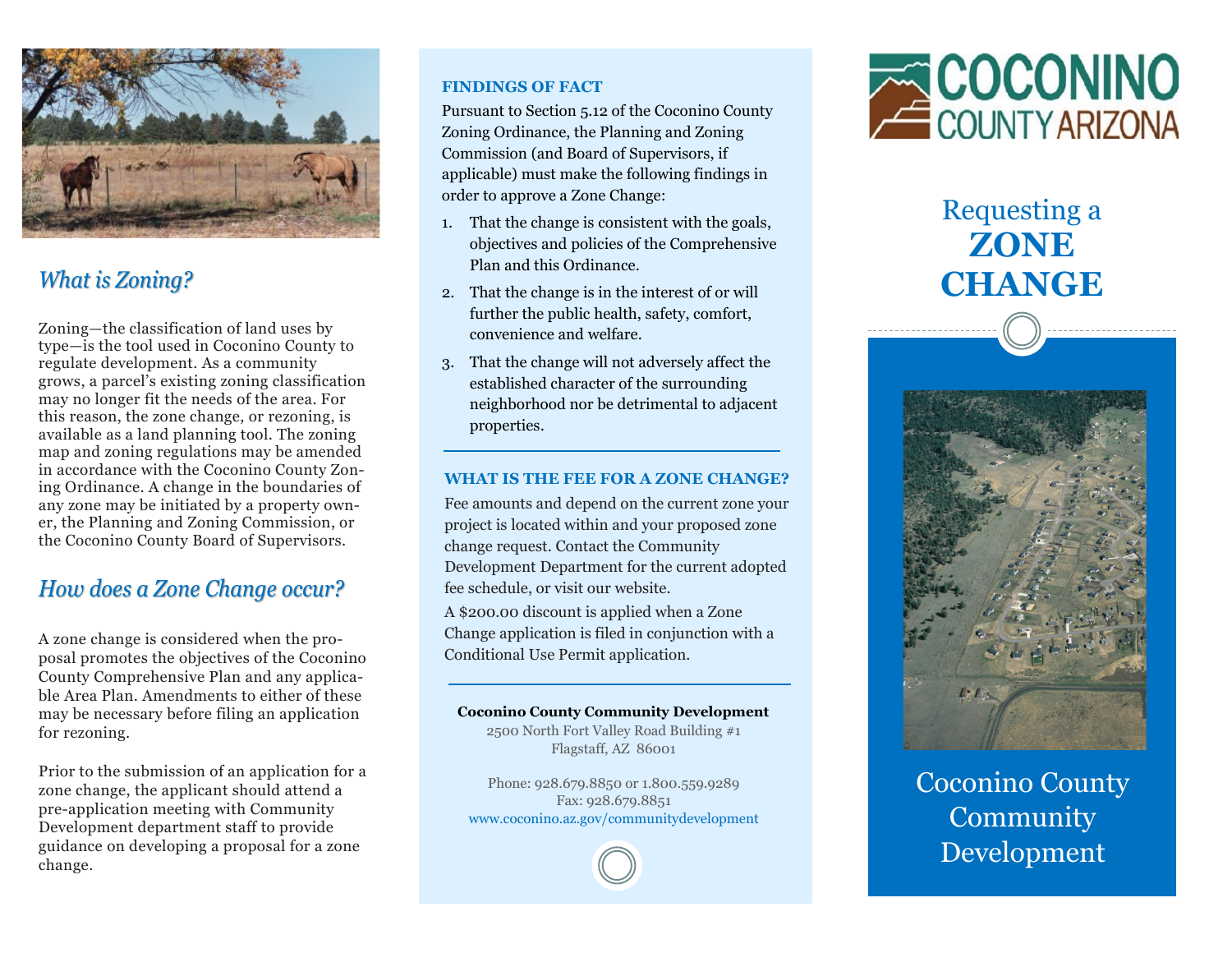

## **What is Zoning?**

Zoning—the classification of land uses by type—is the tool used in Coconino County to regulate development. As a community grows, a parcel's existing zoning classification may no longer fit the needs of the area. For this reason, the zone change, or rezoning, is available as a land planning tool. The zoning map and zoning regulations may be amended in accordance with the Coconino County Zoning Ordinance. A change in the boundaries of any zone may be initiated by a property owner, the Planning and Zoning Commission, or the Coconino County Board of Supervisors.

### How does a Zone Change occur?

A zone change is considered when the proposal promotes the objectives of the Coconino County Comprehensive Plan and any applicable Area Plan. Amendments to either of these may be necessary before filing an application for rezoning.

Prior to the submission of an application for a zone change, the applicant should attend a pre-application meeting with Community Development department staff to provide guidance on developing a proposal for a zone change.

#### **FINDINGS OF FACT**

Pursuant to Section 5.12 of the Coconino County Zoning Ordinance, the Planning and Zoning Commission (and Board of Supervisors, if applicable) must make the following findings in order to approve a Zone Change:

- 1. That the change is consistent with the goals, objectives and policies of the Comprehensive Plan and this Ordinance.
- 2. That the change is in the interest of or will further the public health, safety, comfort, convenience and welfare.
- 3. That the change will not adversely affect the established character of the surrounding neighborhood nor be detrimental to adjacent properties.

#### **WHAT IS THE FEE FOR A ZONE CHANGE?**

Fee amounts and depend on the current zone your project is located within and your proposed zone change request. Contact the Community Development Department for the current adopted fee schedule, or visit our website.

A \$200.00 discount is applied when a Zone Change application is filed in conjunction with a Conditional Use Permit application.

#### **Coconino County Community Development**

2500 North Fort Valley Road Building #1 Flagstaff, AZ 86001

Phone: 928.679.8850 or 1.800.559.9289 Fax: 928.679.8851 www.coconino.az.gov/communitydevelopment



## Requesting a **ZONE CHANGE**



Coconino County Community Development